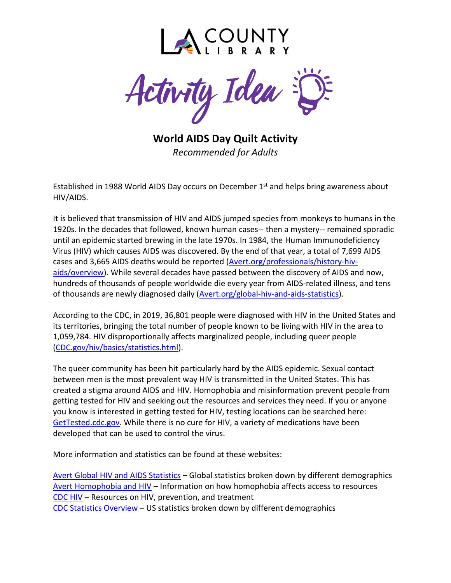

Activity Idea

**World AIDS Day Quilt Activity** *Recommended for Adults*

Established in 1988 World AIDS Day occurs on December  $1<sup>st</sup>$  and helps bring awareness about HIV/AIDS.

It is believed that transmission of HIV and AIDS jumped species from monkeys to humans in the 1920s. In the decades that followed, known human cases-- then a mystery-- remained sporadic until an epidemic started brewing in the late 1970s. In 1984, the Human Immunodeficiency Virus (HIV) which causes AIDS was discovered. By the end of that year, a total of 7,699 AIDS cases and 3,665 AIDS deaths would be reported [\(Avert.org/professionals/history-hiv](https://www.avert.org/professionals/history-hiv-aids/overview)[aids/overview\)](https://www.avert.org/professionals/history-hiv-aids/overview). While several decades have passed between the discovery of AIDS and now, hundreds of thousands of people worldwide die every year from AIDS-related illness, and tens of thousands are newly diagnosed daily [\(Avert.org/global-hiv-and-aids-statistics\)](https://www.avert.org/global-hiv-and-aids-statistics).

According to the CDC, in 2019, 36,801 people were diagnosed with HIV in the United States and its territories, bringing the total number of people known to be living with HIV in the area to 1,059,784. HIV disproportionally affects marginalized people, including queer people [\(CDC.gov/hiv/basics/statistics.html\)](https://www.cdc.gov/hiv/basics/statistics.html).

The queer community has been hit particularly hard by the AIDS epidemic. Sexual contact between men is the most prevalent way HIV is transmitted in the United States. This has created a stigma around AIDS and HIV. Homophobia and misinformation prevent people from getting tested for HIV and seeking out the resources and services they need. If you or anyone you know is interested in getting tested for HIV, testing locations can be searched here: [GetTested.cdc.gov.](https://gettested.cdc.gov/) While there is no cure for HIV, a variety of medications have been developed that can be used to control the virus.

More information and statistics can be found at these websites:

[Avert Global HIV and AIDS Statistics](https://www.avert.org/global-hiv-and-aids-statistics) – Global statistics broken down by different demographics [Avert Homophobia and HIV](https://www.avert.org/professionals/hiv-social-issues/homophobia) – Information on how homophobia affects access to resources [CDC HIV](https://www.cdc.gov/hiv/default.html) – Resources on HIV, prevention, and treatment [CDC Statistics Overview](https://www.cdc.gov/hiv/statistics/overview/index.html) – US statistics broken down by different demographics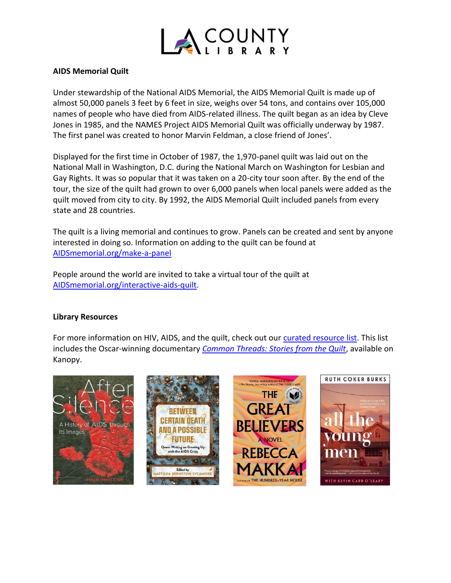

## **AIDS Memorial Quilt**

Under stewardship of the National AIDS Memorial, the AIDS Memorial Quilt is made up of almost 50,000 panels 3 feet by 6 feet in size, weighs over 54 tons, and contains over 105,000 names of people who have died from AIDS-related illness. The quilt began as an idea by Cleve Jones in 1985, and the NAMES Project AIDS Memorial Quilt was officially underway by 1987. The first panel was created to honor Marvin Feldman, a close friend of Jones'.

Displayed for the first time in October of 1987, the 1,970-panel quilt was laid out on the National Mall in Washington, D.C. during the National March on Washington for Lesbian and Gay Rights. It was so popular that it was taken on a 20-city tour soon after. By the end of the tour, the size of the quilt had grown to over 6,000 panels when local panels were added as the quilt moved from city to city. By 1992, the AIDS Memorial Quilt included panels from every state and 28 countries.

The quilt is a living memorial and continues to grow. Panels can be created and sent by anyone interested in doing so. Information on adding to the quilt can be found at [AIDSmemorial.org/make-a-panel](https://www.aidsmemorial.org/make-a-panel)

People around the world are invited to take a virtual tour of the quilt at [AIDSmemorial.org/interactive-aids-quilt.](https://www.aidsmemorial.org/interactive-aids-quilt)

## **Library Resources**

For more information on HIV, AIDS, and the quilt, check out our [curated resource](https://lacountylibrary.org/booklist-details/974/) list. This list includes the Oscar-winning documentary *[Common Threads: Stories from the Quilt](https://lacounty.kanopy.com/video/common-threads)*, available on Kanopy.